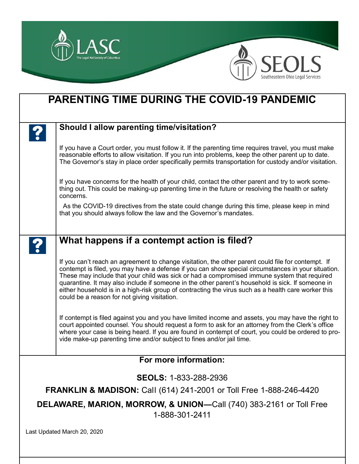

| <b>PARENTING TIME DURING THE COVID-19 PANDEMIC</b>                                              |                                                                                                                                                                                                                                                                                                                                                                                                                                                                                                                                                                     |
|-------------------------------------------------------------------------------------------------|---------------------------------------------------------------------------------------------------------------------------------------------------------------------------------------------------------------------------------------------------------------------------------------------------------------------------------------------------------------------------------------------------------------------------------------------------------------------------------------------------------------------------------------------------------------------|
|                                                                                                 | Should I allow parenting time/visitation?                                                                                                                                                                                                                                                                                                                                                                                                                                                                                                                           |
|                                                                                                 | If you have a Court order, you must follow it. If the parenting time requires travel, you must make<br>reasonable efforts to allow visitation. If you run into problems, keep the other parent up to date.<br>The Governor's stay in place order specifically permits transportation for custody and/or visitation.                                                                                                                                                                                                                                                 |
|                                                                                                 | If you have concerns for the health of your child, contact the other parent and try to work some-<br>thing out. This could be making-up parenting time in the future or resolving the health or safety<br>concerns.                                                                                                                                                                                                                                                                                                                                                 |
|                                                                                                 | As the COVID-19 directives from the state could change during this time, please keep in mind<br>that you should always follow the law and the Governor's mandates.                                                                                                                                                                                                                                                                                                                                                                                                  |
|                                                                                                 | What happens if a contempt action is filed?                                                                                                                                                                                                                                                                                                                                                                                                                                                                                                                         |
|                                                                                                 | If you can't reach an agreement to change visitation, the other parent could file for contempt. If<br>contempt is filed, you may have a defense if you can show special circumstances in your situation.<br>These may include that your child was sick or had a compromised immune system that required<br>quarantine. It may also include if someone in the other parent's household is sick. If someone in<br>either household is in a high-risk group of contracting the virus such as a health care worker this<br>could be a reason for not giving visitation. |
|                                                                                                 | If contempt is filed against you and you have limited income and assets, you may have the right to<br>court appointed counsel. You should request a form to ask for an attorney from the Clerk's office<br>where your case is being heard. If you are found in contempt of court, you could be ordered to pro-<br>vide make-up parenting time and/or subject to fines and/or jail time.                                                                                                                                                                             |
| For more information:                                                                           |                                                                                                                                                                                                                                                                                                                                                                                                                                                                                                                                                                     |
| <b>SEOLS: 1-833-288-2936</b>                                                                    |                                                                                                                                                                                                                                                                                                                                                                                                                                                                                                                                                                     |
| <b>FRANKLIN &amp; MADISON: Call (614) 241-2001 or Toll Free 1-888-246-4420</b>                  |                                                                                                                                                                                                                                                                                                                                                                                                                                                                                                                                                                     |
| <b>DELAWARE, MARION, MORROW, &amp; UNION—Call (740) 383-2161 or Toll Free</b><br>1-888-301-2411 |                                                                                                                                                                                                                                                                                                                                                                                                                                                                                                                                                                     |
| Last Updated March 20, 2020                                                                     |                                                                                                                                                                                                                                                                                                                                                                                                                                                                                                                                                                     |